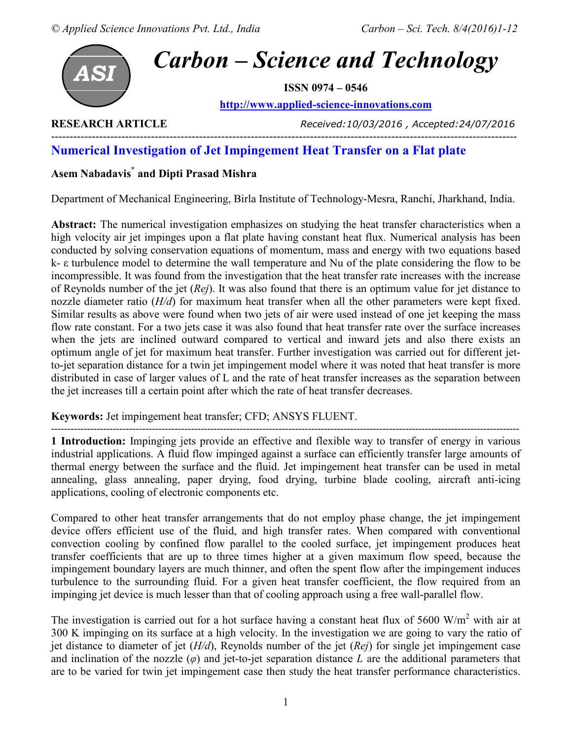

**RESEARCH ARTICLE** *Received:10/03/2016 , Accepted:24/07/2016* 

# **Numerical Investigation of Jet Impingement Heat Transfer on a Flat plate**

## **Asem Nabadavis\* and Dipti Prasad Mishra**

Department of Mechanical Engineering, Birla Institute of Technology-Mesra, Ranchi, Jharkhand, India.

------------------------------------------------------------------------------------------------------------------------------

**Abstract:** The numerical investigation emphasizes on studying the heat transfer characteristics when a high velocity air jet impinges upon a flat plate having constant heat flux. Numerical analysis has been conducted by solving conservation equations of momentum, mass and energy with two equations based k- ε turbulence model to determine the wall temperature and Nu of the plate considering the flow to be incompressible. It was found from the investigation that the heat transfer rate increases with the increase of Reynolds number of the jet (*Rej*). It was also found that there is an optimum value for jet distance to nozzle diameter ratio (*H/d*) for maximum heat transfer when all the other parameters were kept fixed. Similar results as above were found when two jets of air were used instead of one jet keeping the mass flow rate constant. For a two jets case it was also found that heat transfer rate over the surface increases when the jets are inclined outward compared to vertical and inward jets and also there exists an optimum angle of jet for maximum heat transfer. Further investigation was carried out for different jetto-jet separation distance for a twin jet impingement model where it was noted that heat transfer is more distributed in case of larger values of L and the rate of heat transfer increases as the separation between the jet increases till a certain point after which the rate of heat transfer decreases.

## **Keywords:** Jet impingement heat transfer; CFD; ANSYS FLUENT.

------------------------------------------------------------------------------------------------------------------------------------------------ **1 Introduction:** Impinging jets provide an effective and flexible way to transfer of energy in various industrial applications. A fluid flow impinged against a surface can efficiently transfer large amounts of thermal energy between the surface and the fluid. Jet impingement heat transfer can be used in metal annealing, glass annealing, paper drying, food drying, turbine blade cooling, aircraft anti-icing applications, cooling of electronic components etc.

Compared to other heat transfer arrangements that do not employ phase change, the jet impingement device offers efficient use of the fluid, and high transfer rates. When compared with conventional convection cooling by confined flow parallel to the cooled surface, jet impingement produces heat transfer coefficients that are up to three times higher at a given maximum flow speed, because the impingement boundary layers are much thinner, and often the spent flow after the impingement induces turbulence to the surrounding fluid. For a given heat transfer coefficient, the flow required from an impinging jet device is much lesser than that of cooling approach using a free wall-parallel flow.

The investigation is carried out for a hot surface having a constant heat flux of 5600  $W/m<sup>2</sup>$  with air at 300 K impinging on its surface at a high velocity. In the investigation we are going to vary the ratio of jet distance to diameter of jet (*H/d*), Reynolds number of the jet (*Rej*) for single jet impingement case and inclination of the nozzle  $(\varphi)$  and jet-to-jet separation distance *L* are the additional parameters that are to be varied for twin jet impingement case then study the heat transfer performance characteristics.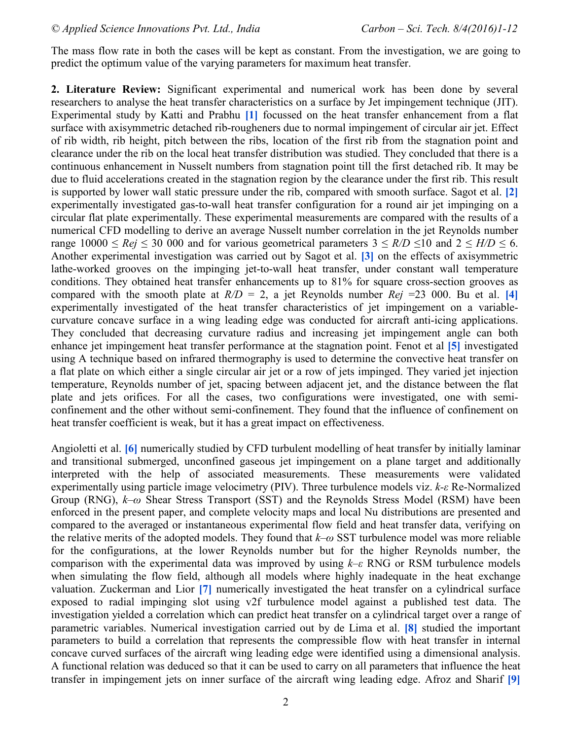The mass flow rate in both the cases will be kept as constant. From the investigation, we are going to predict the optimum value of the varying parameters for maximum heat transfer.

**2. Literature Review:** Significant experimental and numerical work has been done by several researchers to analyse the heat transfer characteristics on a surface by Jet impingement technique (JIT). Experimental study by Katti and Prabhu **[1]** focussed on the heat transfer enhancement from a flat surface with axisymmetric detached rib-rougheners due to normal impingement of circular air jet. Effect of rib width, rib height, pitch between the ribs, location of the first rib from the stagnation point and clearance under the rib on the local heat transfer distribution was studied. They concluded that there is a continuous enhancement in Nusselt numbers from stagnation point till the first detached rib. It may be due to fluid accelerations created in the stagnation region by the clearance under the first rib. This result is supported by lower wall static pressure under the rib, compared with smooth surface. Sagot et al. **[2]** experimentally investigated gas-to-wall heat transfer configuration for a round air jet impinging on a circular flat plate experimentally. These experimental measurements are compared with the results of a numerical CFD modelling to derive an average Nusselt number correlation in the jet Reynolds number range  $10000 \leq Rej \leq 30000$  and for various geometrical parameters  $3 \leq R/D \leq 10$  and  $2 \leq H/D \leq 6$ . Another experimental investigation was carried out by Sagot et al. **[3]** on the effects of axisymmetric lathe-worked grooves on the impinging jet-to-wall heat transfer, under constant wall temperature conditions. They obtained heat transfer enhancements up to 81% for square cross-section grooves as compared with the smooth plate at  $R/D = 2$ , a jet Reynolds number  $Rej = 23000$ . Bu et al. [4] experimentally investigated of the heat transfer characteristics of jet impingement on a variablecurvature concave surface in a wing leading edge was conducted for aircraft anti-icing applications. They concluded that decreasing curvature radius and increasing jet impingement angle can both enhance jet impingement heat transfer performance at the stagnation point. Fenot et al **[5]** investigated using A technique based on infrared thermography is used to determine the convective heat transfer on a flat plate on which either a single circular air jet or a row of jets impinged. They varied jet injection temperature, Reynolds number of jet, spacing between adjacent jet, and the distance between the flat plate and jets orifices. For all the cases, two configurations were investigated, one with semiconfinement and the other without semi-confinement. They found that the influence of confinement on heat transfer coefficient is weak, but it has a great impact on effectiveness.

Angioletti et al. **[6]** numerically studied by CFD turbulent modelling of heat transfer by initially laminar and transitional submerged, unconfined gaseous jet impingement on a plane target and additionally interpreted with the help of associated measurements. These measurements were validated experimentally using particle image velocimetry (PIV). Three turbulence models viz. *k-ε* Re-Normalized Group (RNG), *k–ω* Shear Stress Transport (SST) and the Reynolds Stress Model (RSM) have been enforced in the present paper, and complete velocity maps and local Nu distributions are presented and compared to the averaged or instantaneous experimental flow field and heat transfer data, verifying on the relative merits of the adopted models. They found that *k–ω* SST turbulence model was more reliable for the configurations, at the lower Reynolds number but for the higher Reynolds number, the comparison with the experimental data was improved by using *k–ε* RNG or RSM turbulence models when simulating the flow field, although all models where highly inadequate in the heat exchange valuation. Zuckerman and Lior **[7]** numerically investigated the heat transfer on a cylindrical surface exposed to radial impinging slot using v2f turbulence model against a published test data. The investigation yielded a correlation which can predict heat transfer on a cylindrical target over a range of parametric variables. Numerical investigation carried out by de Lima et al. **[8]** studied the important parameters to build a correlation that represents the compressible flow with heat transfer in internal concave curved surfaces of the aircraft wing leading edge were identified using a dimensional analysis. A functional relation was deduced so that it can be used to carry on all parameters that influence the heat transfer in impingement jets on inner surface of the aircraft wing leading edge. Afroz and Sharif **[9]**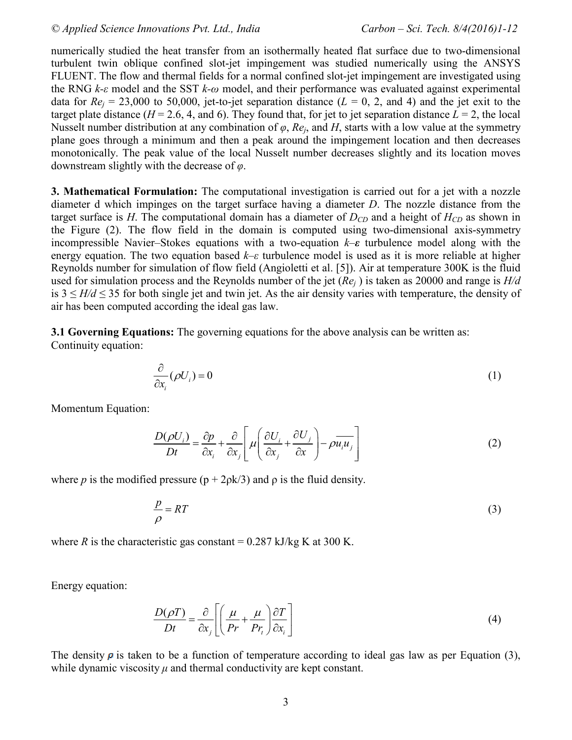numerically studied the heat transfer from an isothermally heated flat surface due to two-dimensional turbulent twin oblique confined slot-jet impingement was studied numerically using the ANSYS FLUENT. The flow and thermal fields for a normal confined slot-jet impingement are investigated using the RNG *k-ε* model and the SST *k-ω* model, and their performance was evaluated against experimental data for  $Re_j = 23{,}000$  to 50,000, jet-to-jet separation distance ( $L = 0$ , 2, and 4) and the jet exit to the target plate distance ( $H = 2.6$ , 4, and 6). They found that, for jet to jet separation distance  $L = 2$ , the local Nusselt number distribution at any combination of  $\varphi$ ,  $Re_j$ , and  $H$ , starts with a low value at the symmetry plane goes through a minimum and then a peak around the impingement location and then decreases monotonically. The peak value of the local Nusselt number decreases slightly and its location moves downstream slightly with the decrease of *φ*.

**3. Mathematical Formulation:** The computational investigation is carried out for a jet with a nozzle diameter d which impinges on the target surface having a diameter *D*. The nozzle distance from the target surface is *H*. The computational domain has a diameter of  $D_{CD}$  and a height of  $H_{CD}$  as shown in the Figure (2). The flow field in the domain is computed using two-dimensional axis-symmetry incompressible Navier–Stokes equations with a two-equation *k–ε* turbulence model along with the energy equation. The two equation based *k–ε* turbulence model is used as it is more reliable at higher Reynolds number for simulation of flow field (Angioletti et al. [5]). Air at temperature 300K is the fluid used for simulation process and the Reynolds number of the jet (*Re<sub>j</sub>*) is taken as 20000 and range is *H/d* is  $3 \leq H/d \leq 35$  for both single jet and twin jet. As the air density varies with temperature, the density of air has been computed according the ideal gas law.

**3.1 Governing Equations:** The governing equations for the above analysis can be written as: Continuity equation:

$$
\frac{\partial}{\partial x_i}(\rho U_i) = 0 \tag{1}
$$

Momentum Equation:

$$
\frac{D(\rho U_i)}{Dt} = \frac{\partial p}{\partial x_i} + \frac{\partial}{\partial x_j} \left[ \mu \left( \frac{\partial U_i}{\partial x_j} + \frac{\partial U_j}{\partial x} \right) - \rho \overline{u_i u_j} \right]
$$
(2)

where *p* is the modified pressure  $(p + 2p/k/3)$  and *p* is the fluid density.

$$
\frac{p}{\rho} = RT \tag{3}
$$

where *R* is the characteristic gas constant =  $0.287$  kJ/kg K at 300 K.

Energy equation:

$$
\frac{D(\rho T)}{Dt} = \frac{\partial}{\partial x_j} \left[ \left( \frac{\mu}{Pr} + \frac{\mu}{Pr_t} \right) \frac{\partial T}{\partial x_i} \right]
$$
(4)

The density  $\rho$  is taken to be a function of temperature according to ideal gas law as per Equation (3), while dynamic viscosity  $\mu$  and thermal conductivity are kept constant.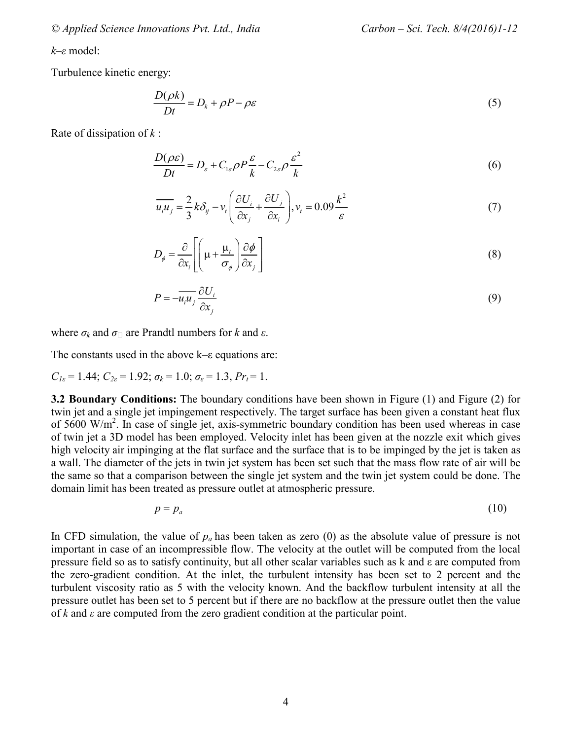*© Applied Science Innovations Pvt. Ltd., India Carbon – Sci. Tech. 8/4(2016)1-12*

*k–ε* model:

Turbulence kinetic energy:

$$
\frac{D(\rho k)}{Dt} = D_k + \rho P - \rho \varepsilon
$$
\n(5)

Rate of dissipation of *k* :

$$
\frac{D(\rho \varepsilon)}{Dt} = D_{\varepsilon} + C_{1\varepsilon} \rho P \frac{\varepsilon}{k} - C_{2\varepsilon} \rho \frac{\varepsilon^2}{k}
$$
 (6)

$$
\overline{u_i u_j} = \frac{2}{3} k \delta_{ij} - v_t \left( \frac{\partial U_i}{\partial x_j} + \frac{\partial U_j}{\partial x_i} \right), v_t = 0.09 \frac{k^2}{\varepsilon}
$$
\n<sup>(7)</sup>

$$
D_{\phi} = \frac{\partial}{\partial x_i} \left[ \left( \mu + \frac{\mu_t}{\sigma_{\phi}} \right) \frac{\partial \phi}{\partial x_j} \right]
$$
 (8)

$$
P = -\overline{u_i u_j} \frac{\partial U_i}{\partial x_j} \tag{9}
$$

where  $\sigma_k$  and  $\sigma_{\Box}$  are Prandtl numbers for *k* and *ε*.

The constants used in the above k–ε equations are:

$$
C_{1\varepsilon} = 1.44
$$
;  $C_{2\varepsilon} = 1.92$ ;  $\sigma_k = 1.0$ ;  $\sigma_{\varepsilon} = 1.3$ ,  $Pr_t = 1$ .

**3.2 Boundary Conditions:** The boundary conditions have been shown in Figure (1) and Figure (2) for twin jet and a single jet impingement respectively. The target surface has been given a constant heat flux of  $5600 \text{ W/m}^2$ . In case of single jet, axis-symmetric boundary condition has been used whereas in case of twin jet a 3D model has been employed. Velocity inlet has been given at the nozzle exit which gives high velocity air impinging at the flat surface and the surface that is to be impinged by the jet is taken as a wall. The diameter of the jets in twin jet system has been set such that the mass flow rate of air will be the same so that a comparison between the single jet system and the twin jet system could be done. The domain limit has been treated as pressure outlet at atmospheric pressure.

$$
p = p_a \tag{10}
$$

In CFD simulation, the value of  $p_a$  has been taken as zero (0) as the absolute value of pressure is not important in case of an incompressible flow. The velocity at the outlet will be computed from the local pressure field so as to satisfy continuity, but all other scalar variables such as k and ε are computed from the zero-gradient condition. At the inlet, the turbulent intensity has been set to 2 percent and the turbulent viscosity ratio as 5 with the velocity known. And the backflow turbulent intensity at all the pressure outlet has been set to 5 percent but if there are no backflow at the pressure outlet then the value of *k* and *ε* are computed from the zero gradient condition at the particular point.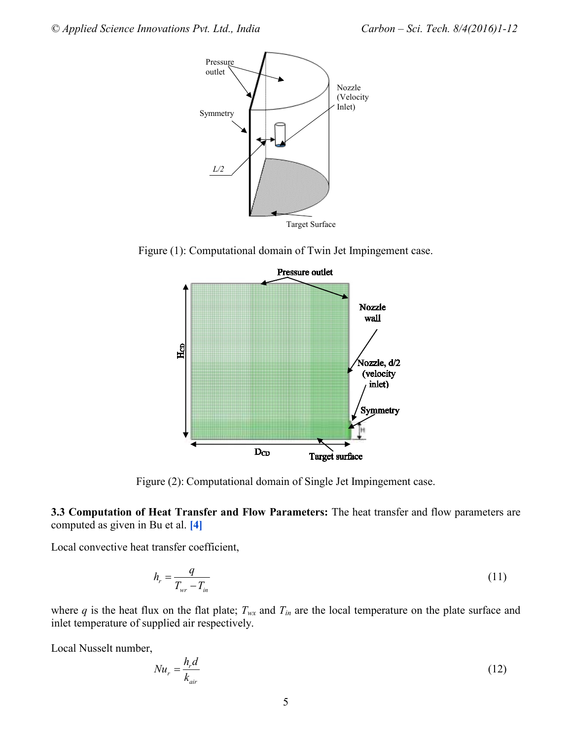

Figure (1): Computational domain of Twin Jet Impingement case.



Figure (2): Computational domain of Single Jet Impingement case.

**3.3 Computation of Heat Transfer and Flow Parameters:** The heat transfer and flow parameters are computed as given in Bu et al. **[4]** 

Local convective heat transfer coefficient,

$$
h_r = \frac{q}{T_{wr} - T_{in}}\tag{11}
$$

where  $q$  is the heat flux on the flat plate;  $T_{wx}$  and  $T_{in}$  are the local temperature on the plate surface and inlet temperature of supplied air respectively.

Local Nusselt number,

$$
Nu_r = \frac{h_r d}{k_{air}}\tag{12}
$$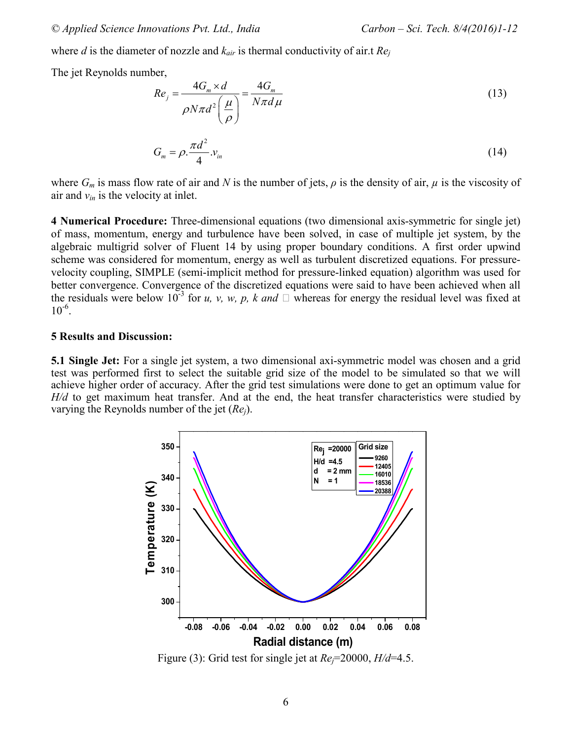where *d* is the diameter of nozzle and *kair* is thermal conductivity of air.t *Re<sup>j</sup>*

The jet Reynolds number,

$$
Re_j = \frac{4G_m \times d}{\rho N \pi d^2 \left(\frac{\mu}{\rho}\right)} = \frac{4G_m}{N \pi d \mu}
$$
\n(13)

$$
G_m = \rho \cdot \frac{\pi d^2}{4} v_m \tag{14}
$$

where  $G_m$  is mass flow rate of air and N is the number of jets,  $\rho$  is the density of air,  $\mu$  is the viscosity of air and  $v_{in}$  is the velocity at inlet.

**4 Numerical Procedure:** Three-dimensional equations (two dimensional axis-symmetric for single jet) of mass, momentum, energy and turbulence have been solved, in case of multiple jet system, by the algebraic multigrid solver of Fluent 14 by using proper boundary conditions. A first order upwind scheme was considered for momentum, energy as well as turbulent discretized equations. For pressurevelocity coupling, SIMPLE (semi-implicit method for pressure-linked equation) algorithm was used for better convergence. Convergence of the discretized equations were said to have been achieved when all the residuals were below  $10^{-3}$  for *u, v, w, p, k and*  $\Box$  whereas for energy the residual level was fixed at  $10^{-6}$ .

#### **5 Results and Discussion:**

**5.1 Single Jet:** For a single jet system, a two dimensional axi-symmetric model was chosen and a grid test was performed first to select the suitable grid size of the model to be simulated so that we will achieve higher order of accuracy. After the grid test simulations were done to get an optimum value for *H/d* to get maximum heat transfer. And at the end, the heat transfer characteristics were studied by varying the Reynolds number of the jet (*Rej*).



Figure (3): Grid test for single jet at  $Re_{\tau}$ =20000,  $H/d$ =4.5.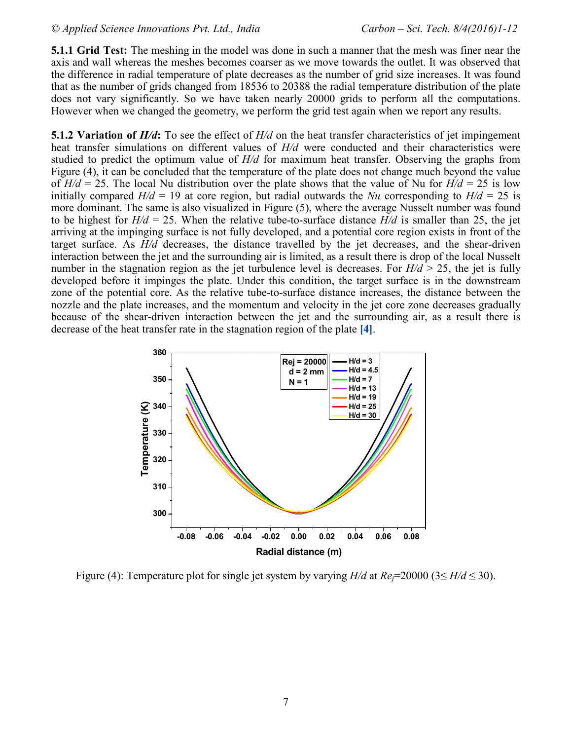**5.1.1 Grid Test:** The meshing in the model was done in such a manner that the mesh was finer near the axis and wall whereas the meshes becomes coarser as we move towards the outlet. It was observed that the difference in radial temperature of plate decreases as the number of grid size increases. It was found that as the number of grids changed from 18536 to 20388 the radial temperature distribution of the plate does not vary significantly. So we have taken nearly 20000 grids to perform all the computations. However when we changed the geometry, we perform the grid test again when we report any results.

**5.1.2 Variation of** *H***/d**: To see the effect of *H*/d on the heat transfer characteristics of jet impingement heat transfer simulations on different values of *H/d* were conducted and their characteristics were studied to predict the optimum value of *H/d* for maximum heat transfer. Observing the graphs from Figure (4), it can be concluded that the temperature of the plate does not change much beyond the value of  $H/d = 25$ . The local Nu distribution over the plate shows that the value of Nu for  $H/d = 25$  is low initially compared  $H/d = 19$  at core region, but radial outwards the *Nu* corresponding to  $H/d = 25$  is more dominant. The same is also visualized in Figure (5), where the average Nusselt number was found to be highest for  $H/d = 25$ . When the relative tube-to-surface distance  $H/d$  is smaller than 25, the jet arriving at the impinging surface is not fully developed, and a potential core region exists in front of the target surface. As *H/d* decreases, the distance travelled by the jet decreases, and the shear-driven interaction between the jet and the surrounding air is limited, as a result there is drop of the local Nusselt number in the stagnation region as the jet turbulence level is decreases. For  $H/d > 25$ , the jet is fully developed before it impinges the plate. Under this condition, the target surface is in the downstream zone of the potential core. As the relative tube-to-surface distance increases, the distance between the nozzle and the plate increases, and the momentum and velocity in the jet core zone decreases gradually because of the shear-driven interaction between the jet and the surrounding air, as a result there is decrease of the heat transfer rate in the stagnation region of the plate **[4]**.



Figure (4): Temperature plot for single jet system by varying  $H/d$  at  $Re=20000$  (3 $\leq H/d \leq 30$ ).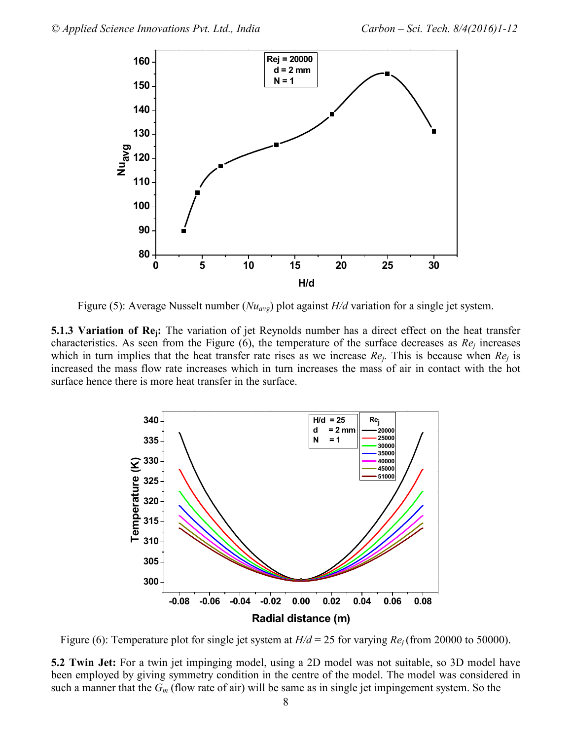

Figure (5): Average Nusselt number (*Nuavg*) plot against *H/d* variation for a single jet system.

**5.1.3 Variation of Rej:** The variation of jet Reynolds number has a direct effect on the heat transfer characteristics. As seen from the Figure (6), the temperature of the surface decreases as *Re<sup>j</sup>* increases which in turn implies that the heat transfer rate rises as we increase  $Re_j$ . This is because when  $Re_j$  is increased the mass flow rate increases which in turn increases the mass of air in contact with the hot surface hence there is more heat transfer in the surface.



Figure (6): Temperature plot for single jet system at *H/d* = 25 for varying *Rej* (from 20000 to 50000).

**5.2 Twin Jet:** For a twin jet impinging model, using a 2D model was not suitable, so 3D model have been employed by giving symmetry condition in the centre of the model. The model was considered in such a manner that the *Gm* (flow rate of air) will be same as in single jet impingement system. So the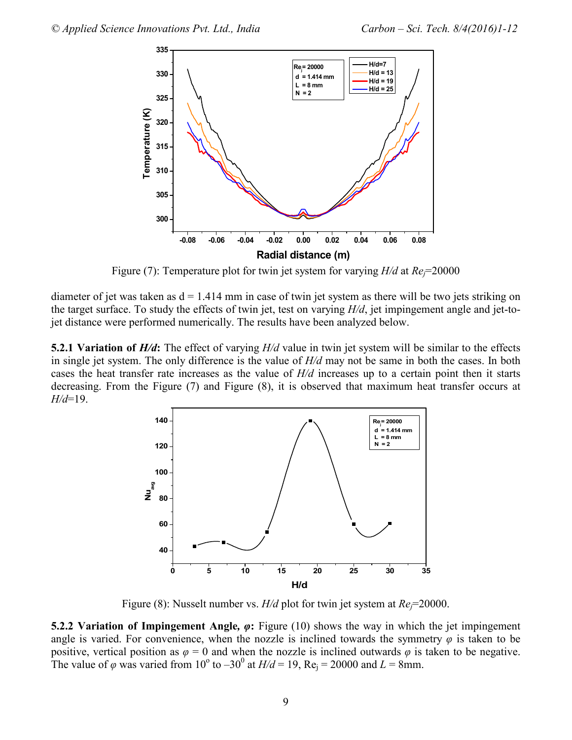

Figure (7): Temperature plot for twin jet system for varying *H/d* at *Rej*=20000

diameter of jet was taken as  $d = 1.414$  mm in case of twin jet system as there will be two jets striking on the target surface. To study the effects of twin jet, test on varying *H/d*, jet impingement angle and jet-tojet distance were performed numerically. The results have been analyzed below.

**5.2.1 Variation of** *H***/d:** The effect of varying *H*/d value in twin jet system will be similar to the effects in single jet system. The only difference is the value of *H/d* may not be same in both the cases. In both cases the heat transfer rate increases as the value of *H/d* increases up to a certain point then it starts decreasing. From the Figure (7) and Figure (8), it is observed that maximum heat transfer occurs at *H/d*=19.



Figure (8): Nusselt number vs. *H/d* plot for twin jet system at *Re*<sup> $=$ </sup>20000.

**5.2.2 Variation of Impingement Angle***, φ***:** Figure (10) shows the way in which the jet impingement angle is varied. For convenience, when the nozzle is inclined towards the symmetry  $\varphi$  is taken to be positive, vertical position as  $\varphi = 0$  and when the nozzle is inclined outwards  $\varphi$  is taken to be negative. The value of  $\varphi$  was varied from 10<sup>°</sup> to -30<sup>°</sup> at  $H/d = 19$ , Re<sub>j</sub> = 20000 and *L* = 8mm.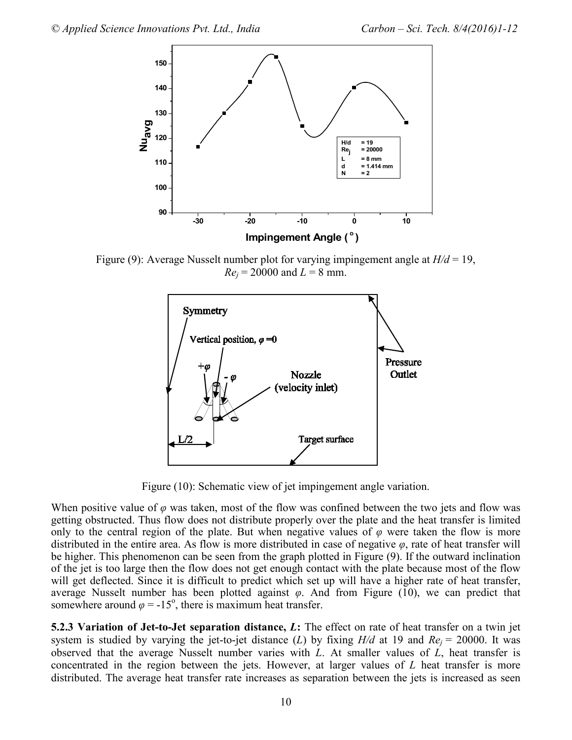

Figure (9): Average Nusselt number plot for varying impingement angle at *H/d* = 19,  $Re_j = 20000$  and  $L = 8$  mm.



Figure (10): Schematic view of jet impingement angle variation.

When positive value of  $\varphi$  was taken, most of the flow was confined between the two jets and flow was getting obstructed. Thus flow does not distribute properly over the plate and the heat transfer is limited only to the central region of the plate. But when negative values of  $\varphi$  were taken the flow is more distributed in the entire area. As flow is more distributed in case of negative *φ*, rate of heat transfer will be higher. This phenomenon can be seen from the graph plotted in Figure (9). If the outward inclination of the jet is too large then the flow does not get enough contact with the plate because most of the flow will get deflected. Since it is difficult to predict which set up will have a higher rate of heat transfer, average Nusselt number has been plotted against *φ*. And from Figure (10), we can predict that somewhere around  $\varphi = -15^{\circ}$ , there is maximum heat transfer.

**5.2.3 Variation of Jet-to-Jet separation distance,** *L***:** The effect on rate of heat transfer on a twin jet system is studied by varying the jet-to-jet distance (*L*) by fixing  $H/d$  at 19 and  $Re<sub>i</sub> = 20000$ . It was observed that the average Nusselt number varies with *L*. At smaller values of *L*, heat transfer is concentrated in the region between the jets. However, at larger values of *L* heat transfer is more distributed. The average heat transfer rate increases as separation between the jets is increased as seen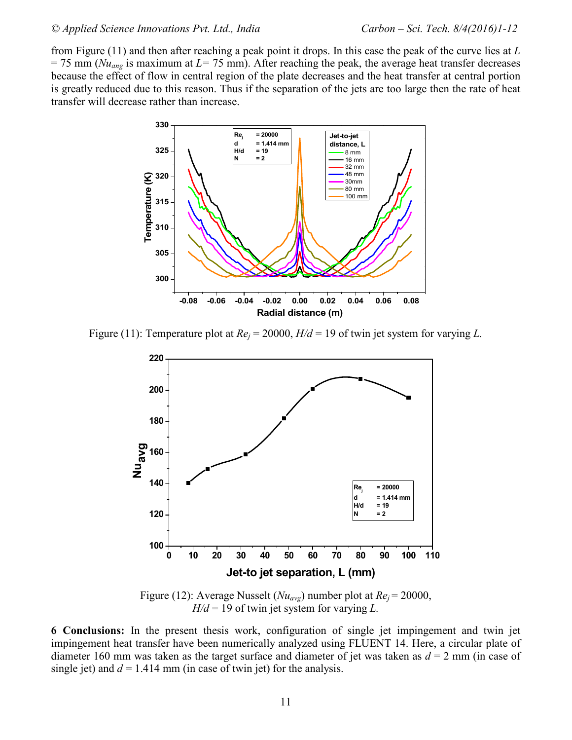from Figure (11) and then after reaching a peak point it drops. In this case the peak of the curve lies at *L*  $= 75$  mm ( $Nu<sub>ang</sub>$  is maximum at  $L = 75$  mm). After reaching the peak, the average heat transfer decreases because the effect of flow in central region of the plate decreases and the heat transfer at central portion is greatly reduced due to this reason. Thus if the separation of the jets are too large then the rate of heat transfer will decrease rather than increase.



Figure (11): Temperature plot at *Re<sup>j</sup>* = 20000, *H/d* = 19 of twin jet system for varying *L.*



Figure (12): Average Nusselt (*Nuavg*) number plot at *Re<sup>j</sup>* = 20000, *H/d* = 19 of twin jet system for varying *L.*

**6 Conclusions:** In the present thesis work, configuration of single jet impingement and twin jet impingement heat transfer have been numerically analyzed using FLUENT 14. Here, a circular plate of diameter 160 mm was taken as the target surface and diameter of jet was taken as  $d = 2$  mm (in case of single jet) and  $d = 1.414$  mm (in case of twin jet) for the analysis.